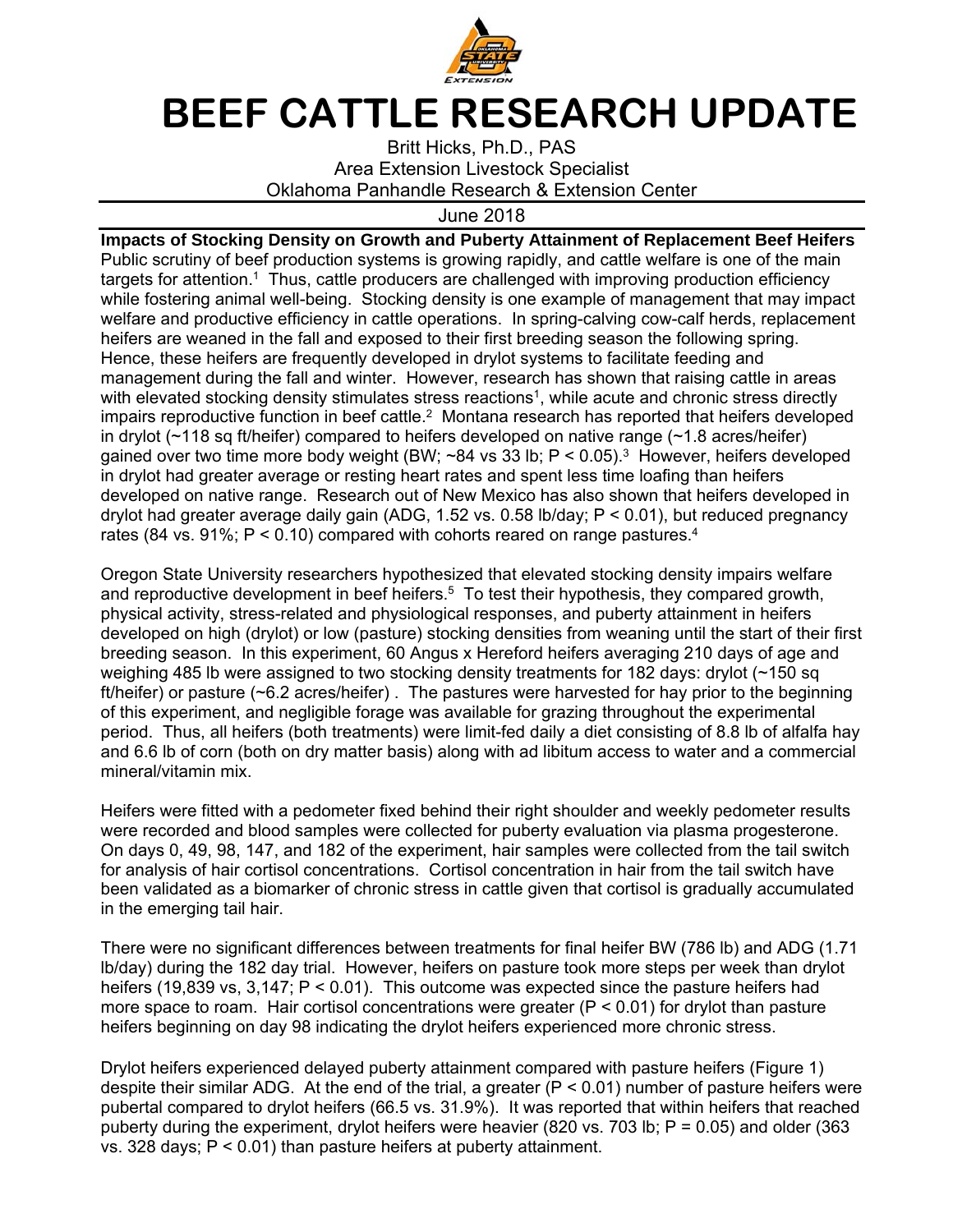

## **BEEF CATTLE RESEARCH UPDATE**

Britt Hicks, Ph.D., PAS Area Extension Livestock Specialist Oklahoma Panhandle Research & Extension Center

June 2018

**Impacts of Stocking Density on Growth and Puberty Attainment of Replacement Beef Heifers** Public scrutiny of beef production systems is growing rapidly, and cattle welfare is one of the main targets for attention.<sup>1</sup> Thus, cattle producers are challenged with improving production efficiency while fostering animal well-being. Stocking density is one example of management that may impact welfare and productive efficiency in cattle operations. In spring-calving cow-calf herds, replacement heifers are weaned in the fall and exposed to their first breeding season the following spring. Hence, these heifers are frequently developed in drylot systems to facilitate feeding and management during the fall and winter. However, research has shown that raising cattle in areas with elevated stocking density stimulates stress reactions<sup>1</sup>, while acute and chronic stress directly impairs reproductive function in beef cattle.<sup>2</sup> Montana research has reported that heifers developed in drylot (~118 sq ft/heifer) compared to heifers developed on native range (~1.8 acres/heifer) gained over two time more body weight (BW;  $\sim$ 84 vs 33 lb; P < 0.05).<sup>3</sup> However, heifers developed in drylot had greater average or resting heart rates and spent less time loafing than heifers developed on native range. Research out of New Mexico has also shown that heifers developed in drylot had greater average daily gain (ADG, 1.52 vs. 0.58 lb/day; P < 0.01), but reduced pregnancy rates (84 vs. 91%;  $P < 0.10$ ) compared with cohorts reared on range pastures.<sup>4</sup>

Oregon State University researchers hypothesized that elevated stocking density impairs welfare and reproductive development in beef heifers.<sup>5</sup> To test their hypothesis, they compared growth, physical activity, stress-related and physiological responses, and puberty attainment in heifers developed on high (drylot) or low (pasture) stocking densities from weaning until the start of their first breeding season. In this experiment, 60 Angus x Hereford heifers averaging 210 days of age and weighing 485 lb were assigned to two stocking density treatments for 182 days: drylot (~150 sq ft/heifer) or pasture (~6.2 acres/heifer) . The pastures were harvested for hay prior to the beginning of this experiment, and negligible forage was available for grazing throughout the experimental period. Thus, all heifers (both treatments) were limit-fed daily a diet consisting of 8.8 lb of alfalfa hay and 6.6 lb of corn (both on dry matter basis) along with ad libitum access to water and a commercial mineral/vitamin mix.

Heifers were fitted with a pedometer fixed behind their right shoulder and weekly pedometer results were recorded and blood samples were collected for puberty evaluation via plasma progesterone. On days 0, 49, 98, 147, and 182 of the experiment, hair samples were collected from the tail switch for analysis of hair cortisol concentrations. Cortisol concentration in hair from the tail switch have been validated as a biomarker of chronic stress in cattle given that cortisol is gradually accumulated in the emerging tail hair.

There were no significant differences between treatments for final heifer BW (786 lb) and ADG (1.71 lb/day) during the 182 day trial. However, heifers on pasture took more steps per week than drylot heifers (19,839 vs, 3,147; P < 0.01). This outcome was expected since the pasture heifers had more space to roam. Hair cortisol concentrations were greater ( $P < 0.01$ ) for drylot than pasture heifers beginning on day 98 indicating the drylot heifers experienced more chronic stress.

Drylot heifers experienced delayed puberty attainment compared with pasture heifers (Figure 1) despite their similar ADG. At the end of the trial, a greater  $(P < 0.01)$  number of pasture heifers were pubertal compared to drylot heifers (66.5 vs. 31.9%). It was reported that within heifers that reached puberty during the experiment, drylot heifers were heavier (820 vs. 703 lb; P = 0.05) and older (363 vs. 328 days; P < 0.01) than pasture heifers at puberty attainment.